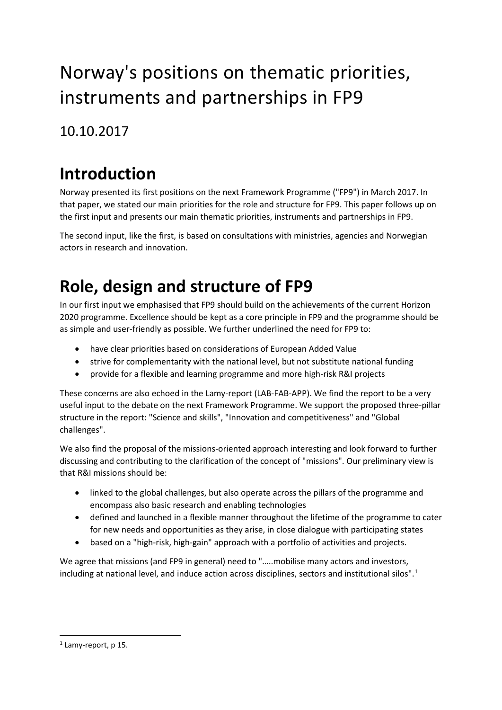# Norway's positions on thematic priorities, instruments and partnerships in FP9

#### 10.10.2017

## **Introduction**

Norway presented its first positions on the next Framework Programme ("FP9") in March 2017. In that paper, we stated our main priorities for the role and structure for FP9. This paper follows up on the first input and presents our main thematic priorities, instruments and partnerships in FP9.

The second input, like the first, is based on consultations with ministries, agencies and Norwegian actors in research and innovation.

## **Role, design and structure of FP9**

In our first input we emphasised that FP9 should build on the achievements of the current Horizon 2020 programme. Excellence should be kept as a core principle in FP9 and the programme should be as simple and user-friendly as possible. We further underlined the need for FP9 to:

- have clear priorities based on considerations of European Added Value
- strive for complementarity with the national level, but not substitute national funding
- provide for a flexible and learning programme and more high-risk R&I projects

These concerns are also echoed in the Lamy-report (LAB-FAB-APP). We find the report to be a very useful input to the debate on the next Framework Programme. We support the proposed three-pillar structure in the report: "Science and skills", "Innovation and competitiveness" and "Global challenges".

We also find the proposal of the missions-oriented approach interesting and look forward to further discussing and contributing to the clarification of the concept of "missions". Our preliminary view is that R&I missions should be:

- linked to the global challenges, but also operate across the pillars of the programme and encompass also basic research and enabling technologies
- defined and launched in a flexible manner throughout the lifetime of the programme to cater for new needs and opportunities as they arise, in close dialogue with participating states
- based on a "high-risk, high-gain" approach with a portfolio of activities and projects.

We agree that missions (and FP9 in general) need to "…..mobilise many actors and investors, including at national level, and induce action across disciplines, sectors and institutional silos".[1](#page-0-0)

<span id="page-0-0"></span> $1$  Lamy-report, p 15.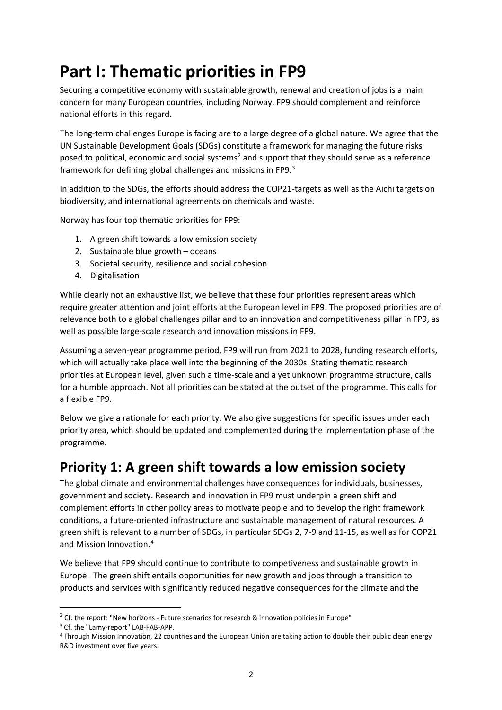## **Part I: Thematic priorities in FP9**

Securing a competitive economy with sustainable growth, renewal and creation of jobs is a main concern for many European countries, including Norway. FP9 should complement and reinforce national efforts in this regard.

The long-term challenges Europe is facing are to a large degree of a global nature. We agree that the UN Sustainable Development Goals (SDGs) constitute a framework for managing the future risks posed to political, economic and social systems<sup>[2](#page-1-0)</sup> and support that they should serve as a reference framework for defining global challenges and missions in FP9.<sup>[3](#page-1-1)</sup>

In addition to the SDGs, the efforts should address the COP21-targets as well as the Aichi targets on biodiversity, and international agreements on chemicals and waste.

Norway has four top thematic priorities for FP9:

- 1. A green shift towards a low emission society
- 2. Sustainable blue growth oceans
- 3. Societal security, resilience and social cohesion
- 4. Digitalisation

While clearly not an exhaustive list, we believe that these four priorities represent areas which require greater attention and joint efforts at the European level in FP9. The proposed priorities are of relevance both to a global challenges pillar and to an innovation and competitiveness pillar in FP9, as well as possible large-scale research and innovation missions in FP9.

Assuming a seven-year programme period, FP9 will run from 2021 to 2028, funding research efforts, which will actually take place well into the beginning of the 2030s. Stating thematic research priorities at European level, given such a time-scale and a yet unknown programme structure, calls for a humble approach. Not all priorities can be stated at the outset of the programme. This calls for a flexible FP9.

Below we give a rationale for each priority. We also give suggestions for specific issues under each priority area, which should be updated and complemented during the implementation phase of the programme.

#### **Priority 1: A green shift towards a low emission society**

The global climate and environmental challenges have consequences for individuals, businesses, government and society. Research and innovation in FP9 must underpin a green shift and complement efforts in other policy areas to motivate people and to develop the right framework conditions, a future-oriented infrastructure and sustainable management of natural resources. A green shift is relevant to a number of SDGs, in particular SDGs 2, 7-9 and 11-15, as well as for COP21 and Mission Innovation. [4](#page-1-2)

We believe that FP9 should continue to contribute to competiveness and sustainable growth in Europe. The green shift entails opportunities for new growth and jobs through a transition to products and services with significantly reduced negative consequences for the climate and the

<span id="page-1-0"></span> $2$  Cf. the report: "New horizons - Future scenarios for research & innovation policies in Europe"

<span id="page-1-2"></span><span id="page-1-1"></span><sup>&</sup>lt;sup>3</sup> Cf. the "Lamy-report" LAB-FAB-APP.<br>4 Through Mission Innovation, 22 countries and the European Union are taking action to double their public clean energy R&D investment over five years.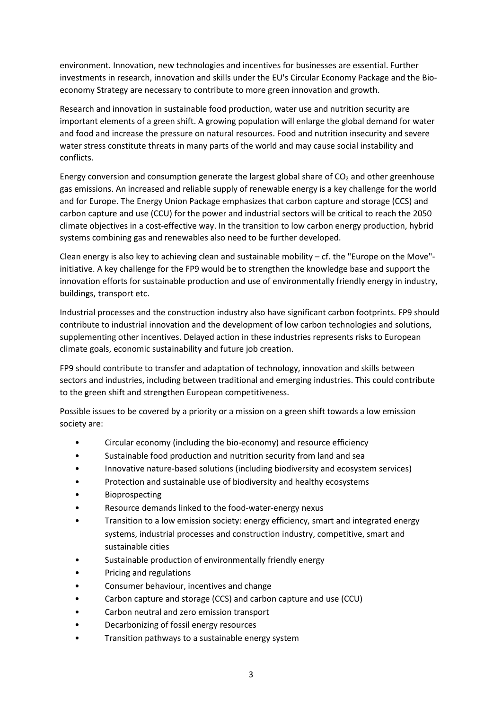environment. Innovation, new technologies and incentives for businesses are essential. Further investments in research, innovation and skills under the EU's Circular Economy Package and the Bioeconomy Strategy are necessary to contribute to more green innovation and growth.

Research and innovation in sustainable food production, water use and nutrition security are important elements of a green shift. A growing population will enlarge the global demand for water and food and increase the pressure on natural resources. Food and nutrition insecurity and severe water stress constitute threats in many parts of the world and may cause social instability and conflicts.

Energy conversion and consumption generate the largest global share of  $CO<sub>2</sub>$  and other greenhouse gas emissions. An increased and reliable supply of renewable energy is a key challenge for the world and for Europe. The Energy Union Package emphasizes that carbon capture and storage (CCS) and carbon capture and use (CCU) for the power and industrial sectors will be critical to reach the 2050 climate objectives in a cost-effective way. In the transition to low carbon energy production, hybrid systems combining gas and renewables also need to be further developed.

Clean energy is also key to achieving clean and sustainable mobility – cf. the "Europe on the Move" initiative. A key challenge for the FP9 would be to strengthen the knowledge base and support the innovation efforts for sustainable production and use of environmentally friendly energy in industry, buildings, transport etc.

Industrial processes and the construction industry also have significant carbon footprints. FP9 should contribute to industrial innovation and the development of low carbon technologies and solutions, supplementing other incentives. Delayed action in these industries represents risks to European climate goals, economic sustainability and future job creation.

FP9 should contribute to transfer and adaptation of technology, innovation and skills between sectors and industries, including between traditional and emerging industries. This could contribute to the green shift and strengthen European competitiveness.

Possible issues to be covered by a priority or a mission on a green shift towards a low emission society are:

- Circular economy (including the bio-economy) and resource efficiency
- Sustainable food production and nutrition security from land and sea
- Innovative nature-based solutions (including biodiversity and ecosystem services)
- Protection and sustainable use of biodiversity and healthy ecosystems
- **Bioprospecting**
- Resource demands linked to the food-water-energy nexus
- Transition to a low emission society: energy efficiency, smart and integrated energy systems, industrial processes and construction industry, competitive, smart and sustainable cities
- Sustainable production of environmentally friendly energy
- Pricing and regulations
- Consumer behaviour, incentives and change
- Carbon capture and storage (CCS) and carbon capture and use (CCU)
- Carbon neutral and zero emission transport
- Decarbonizing of fossil energy resources
- Transition pathways to a sustainable energy system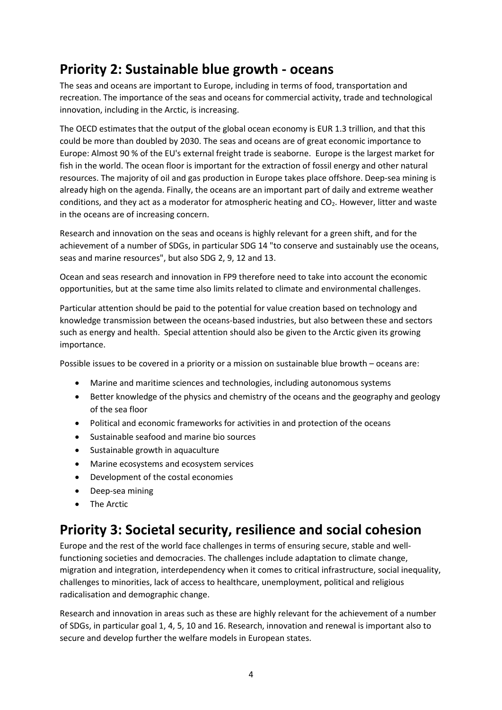### **Priority 2: Sustainable blue growth - oceans**

The seas and oceans are important to Europe, including in terms of food, transportation and recreation. The importance of the seas and oceans for commercial activity, trade and technological innovation, including in the Arctic, is increasing.

The OECD estimates that the output of the global ocean economy is EUR 1.3 trillion, and that this could be more than doubled by 2030. The seas and oceans are of great economic importance to Europe: Almost 90 % of the EU's external freight trade is seaborne. Europe is the largest market for fish in the world. The ocean floor is important for the extraction of fossil energy and other natural resources. The majority of oil and gas production in Europe takes place offshore. Deep-sea mining is already high on the agenda. Finally, the oceans are an important part of daily and extreme weather conditions, and they act as a moderator for atmospheric heating and CO2. However, litter and waste in the oceans are of increasing concern.

Research and innovation on the seas and oceans is highly relevant for a green shift, and for the achievement of a number of SDGs, in particular SDG 14 "to conserve and sustainably use the oceans, seas and marine resources", but also SDG 2, 9, 12 and 13.

Ocean and seas research and innovation in FP9 therefore need to take into account the economic opportunities, but at the same time also limits related to climate and environmental challenges.

Particular attention should be paid to the potential for value creation based on technology and knowledge transmission between the oceans-based industries, but also between these and sectors such as energy and health. Special attention should also be given to the Arctic given its growing importance.

Possible issues to be covered in a priority or a mission on sustainable blue browth – oceans are:

- Marine and maritime sciences and technologies, including autonomous systems
- Better knowledge of the physics and chemistry of the oceans and the geography and geology of the sea floor
- Political and economic frameworks for activities in and protection of the oceans
- Sustainable seafood and marine bio sources
- Sustainable growth in aquaculture
- Marine ecosystems and ecosystem services
- Development of the costal economies
- Deep-sea mining
- The Arctic

#### **Priority 3: Societal security, resilience and social cohesion**

Europe and the rest of the world face challenges in terms of ensuring secure, stable and wellfunctioning societies and democracies. The challenges include adaptation to climate change, migration and integration, interdependency when it comes to critical infrastructure, social inequality, challenges to minorities, lack of access to healthcare, unemployment, political and religious radicalisation and demographic change.

Research and innovation in areas such as these are highly relevant for the achievement of a number of SDGs, in particular goal 1, 4, 5, 10 and 16. Research, innovation and renewal is important also to secure and develop further the welfare models in European states.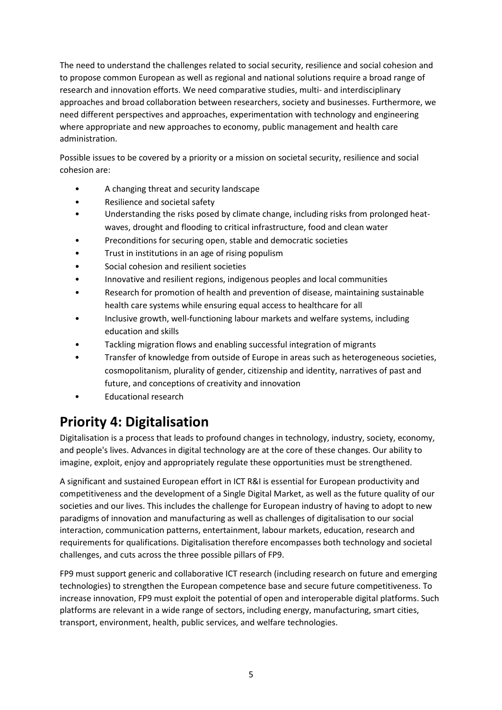The need to understand the challenges related to social security, resilience and social cohesion and to propose common European as well as regional and national solutions require a broad range of research and innovation efforts. We need comparative studies, multi- and interdisciplinary approaches and broad collaboration between researchers, society and businesses. Furthermore, we need different perspectives and approaches, experimentation with technology and engineering where appropriate and new approaches to economy, public management and health care administration.

Possible issues to be covered by a priority or a mission on societal security, resilience and social cohesion are:

- A changing threat and security landscape
- Resilience and societal safety
- Understanding the risks posed by climate change, including risks from prolonged heatwaves, drought and flooding to critical infrastructure, food and clean water
- Preconditions for securing open, stable and democratic societies
- Trust in institutions in an age of rising populism
- Social cohesion and resilient societies
- Innovative and resilient regions, indigenous peoples and local communities
- Research for promotion of health and prevention of disease, maintaining sustainable health care systems while ensuring equal access to healthcare for all
- Inclusive growth, well-functioning labour markets and welfare systems, including education and skills
- Tackling migration flows and enabling successful integration of migrants
- Transfer of knowledge from outside of Europe in areas such as heterogeneous societies, cosmopolitanism, plurality of gender, citizenship and identity, narratives of past and future, and conceptions of creativity and innovation
- Educational research

### **Priority 4: Digitalisation**

Digitalisation is a process that leads to profound changes in technology, industry, society, economy, and people's lives. Advances in digital technology are at the core of these changes. Our ability to imagine, exploit, enjoy and appropriately regulate these opportunities must be strengthened.

A significant and sustained European effort in ICT R&I is essential for European productivity and competitiveness and the development of a Single Digital Market, as well as the future quality of our societies and our lives. This includes the challenge for European industry of having to adopt to new paradigms of innovation and manufacturing as well as challenges of digitalisation to our social interaction, communication patterns, entertainment, labour markets, education, research and requirements for qualifications. Digitalisation therefore encompasses both technology and societal challenges, and cuts across the three possible pillars of FP9.

FP9 must support generic and collaborative ICT research (including research on future and emerging technologies) to strengthen the European competence base and secure future competitiveness. To increase innovation, FP9 must exploit the potential of open and interoperable digital platforms. Such platforms are relevant in a wide range of sectors, including energy, manufacturing, smart cities, transport, environment, health, public services, and welfare technologies.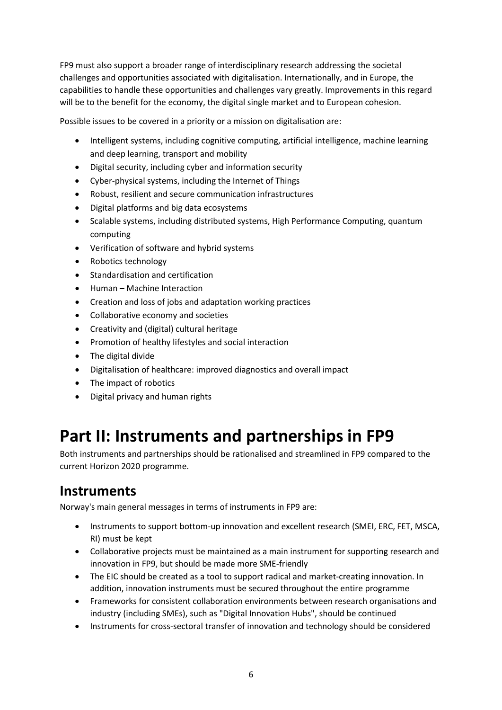FP9 must also support a broader range of interdisciplinary research addressing the societal challenges and opportunities associated with digitalisation. Internationally, and in Europe, the capabilities to handle these opportunities and challenges vary greatly. Improvements in this regard will be to the benefit for the economy, the digital single market and to European cohesion.

Possible issues to be covered in a priority or a mission on digitalisation are:

- Intelligent systems, including cognitive computing, artificial intelligence, machine learning and deep learning, transport and mobility
- Digital security, including cyber and information security
- Cyber-physical systems, including the Internet of Things
- Robust, resilient and secure communication infrastructures
- Digital platforms and big data ecosystems
- Scalable systems, including distributed systems, High Performance Computing, quantum computing
- Verification of software and hybrid systems
- Robotics technology
- Standardisation and certification
- Human Machine Interaction
- Creation and loss of jobs and adaptation working practices
- Collaborative economy and societies
- Creativity and (digital) cultural heritage
- Promotion of healthy lifestyles and social interaction
- The digital divide
- Digitalisation of healthcare: improved diagnostics and overall impact
- The impact of robotics
- Digital privacy and human rights

## **Part II: Instruments and partnerships in FP9**

Both instruments and partnerships should be rationalised and streamlined in FP9 compared to the current Horizon 2020 programme.

### **Instruments**

Norway's main general messages in terms of instruments in FP9 are:

- Instruments to support bottom-up innovation and excellent research (SMEI, ERC, FET, MSCA, RI) must be kept
- Collaborative projects must be maintained as a main instrument for supporting research and innovation in FP9, but should be made more SME-friendly
- The EIC should be created as a tool to support radical and market-creating innovation. In addition, innovation instruments must be secured throughout the entire programme
- Frameworks for consistent collaboration environments between research organisations and industry (including SMEs), such as "Digital Innovation Hubs", should be continued
- Instruments for cross-sectoral transfer of innovation and technology should be considered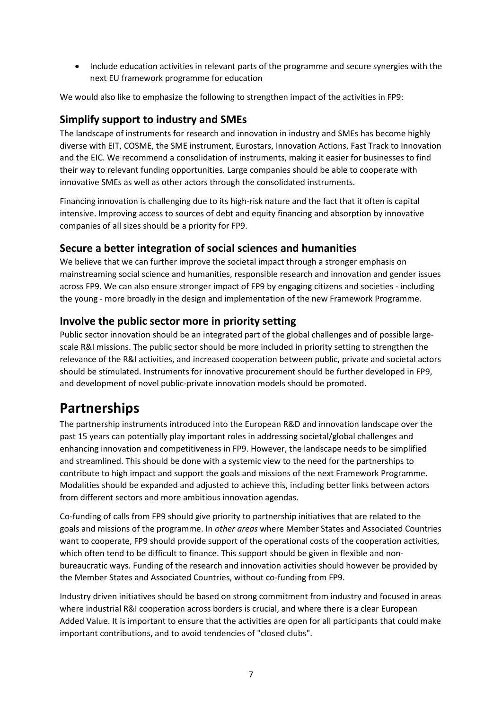• Include education activities in relevant parts of the programme and secure synergies with the next EU framework programme for education

We would also like to emphasize the following to strengthen impact of the activities in FP9:

#### **Simplify support to industry and SMEs**

The landscape of instruments for research and innovation in industry and SMEs has become highly diverse with EIT, COSME, the SME instrument, Eurostars, Innovation Actions, Fast Track to Innovation and the EIC. We recommend a consolidation of instruments, making it easier for businesses to find their way to relevant funding opportunities. Large companies should be able to cooperate with innovative SMEs as well as other actors through the consolidated instruments.

Financing innovation is challenging due to its high-risk nature and the fact that it often is capital intensive. Improving access to sources of debt and equity financing and absorption by innovative companies of all sizes should be a priority for FP9.

#### **Secure a better integration of social sciences and humanities**

We believe that we can further improve the societal impact through a stronger emphasis on mainstreaming social science and humanities, responsible research and innovation and gender issues across FP9. We can also ensure stronger impact of FP9 by engaging citizens and societies - including the young - more broadly in the design and implementation of the new Framework Programme.

#### **Involve the public sector more in priority setting**

Public sector innovation should be an integrated part of the global challenges and of possible largescale R&I missions. The public sector should be more included in priority setting to strengthen the relevance of the R&I activities, and increased cooperation between public, private and societal actors should be stimulated. Instruments for innovative procurement should be further developed in FP9, and development of novel public-private innovation models should be promoted.

### **Partnerships**

The partnership instruments introduced into the European R&D and innovation landscape over the past 15 years can potentially play important roles in addressing societal/global challenges and enhancing innovation and competitiveness in FP9. However, the landscape needs to be simplified and streamlined. This should be done with a systemic view to the need for the partnerships to contribute to high impact and support the goals and missions of the next Framework Programme. Modalities should be expanded and adjusted to achieve this, including better links between actors from different sectors and more ambitious innovation agendas.

Co-funding of calls from FP9 should give priority to partnership initiatives that are related to the goals and missions of the programme. In *other areas* where Member States and Associated Countries want to cooperate, FP9 should provide support of the operational costs of the cooperation activities, which often tend to be difficult to finance. This support should be given in flexible and nonbureaucratic ways. Funding of the research and innovation activities should however be provided by the Member States and Associated Countries, without co-funding from FP9.

Industry driven initiatives should be based on strong commitment from industry and focused in areas where industrial R&I cooperation across borders is crucial, and where there is a clear European Added Value. It is important to ensure that the activities are open for all participants that could make important contributions, and to avoid tendencies of "closed clubs".